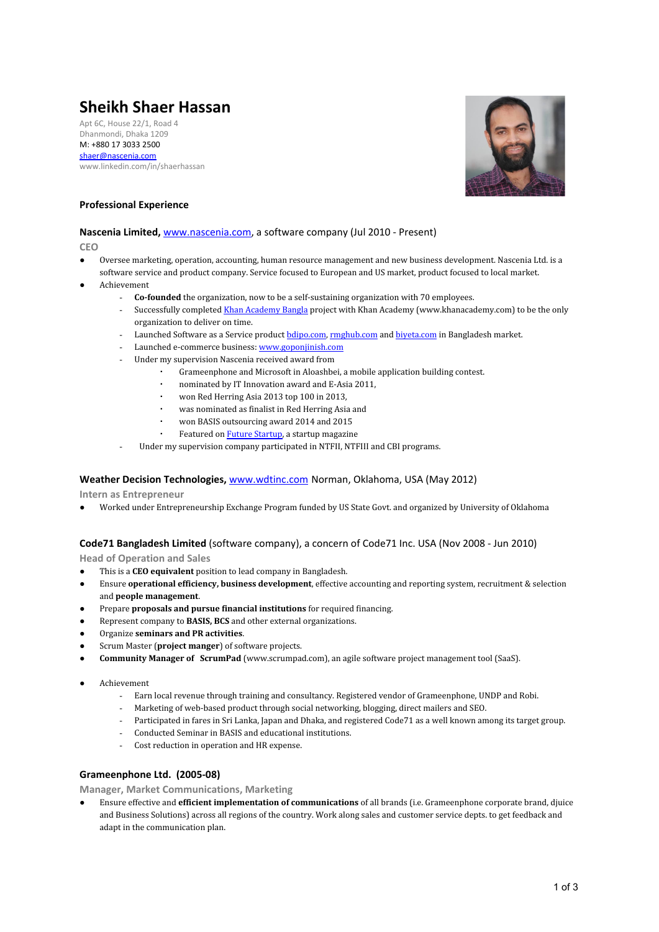# **Sheikh Shaer Hassan**

Apt 6C, House 22/1, Road 4 Dhanmondi, Dhaka 1209 M: +880 17 3033 2500 [shaer@nascenia.com](mailto:shaer@nascenia.com) [www.linkedin.com/in/shaerhassan](http://www.linkedin.com/in/shaerhassan)



# **Professional Experience**

# **Nascenia Limited,** [www.nascenia.com](http://www.nascenia.com/), a software company (Jul 2010 - Present)

**CEO**

- Oversee marketing, operation, accounting, human resource management and new business development. Nascenia Ltd. is a software service and product company. Service focused to European and US market, product focused to local market.
- **Achievement** 
	- **Co-founded** the organization, now to be a self-sustaining organization with 70 employees.
	- Successfully completed Khan [Academy](http://khanacademybangla.com/) Bangla project with Khan Academy (www.khanacademy.com) to be the only organization to deliver on time.
	- Launched Software as a Service product **[bdipo.com](http://www.bdipo.com/)**, [rmghub.com](http://rmghub.com/) and biveta.com in Bangladesh market.
	- Launched e-commerce business: [www.goponjinish.com](http://www.goponjinish.com/)
	- Under my supervision Nascenia received award from
		- Grameenphone and Microsoft in Aloashbei, a mobile application building contest.
		- nominated by IT Innovation award and E-Asia 2011,
		- won Red Herring Asia 2013 top 100 in 2013,
		- was nominated as finalist in Red Herring Asia and
		- won BASIS outsourcing award 2014 and 2015
		- Featured on **Future [Startup](http://futurestartup.com/2014/06/13/shaer-hassan-nascenia/)**, a startup magazine
	- Under my supervision company participated in NTFII, NTFIII and CBI programs.

# **Weather Decision Technologies,** [www.wdtinc.com](http://www.wdtinc.com/) Norman, Oklahoma, USA (May 2012)

**Intern as Entrepreneur**

● Worked under Entrepreneurship Exchange Program funded by US State Govt. and organized by University of Oklahoma

# **Code71 Bangladesh Limited** (software company), a concern of Code71 Inc. USA (Nov 2008 - Jun 2010)

**Head of Operation and Sales**

- This is a **CEO equivalent** position to lead company in Bangladesh.
- Ensure **operational efficiency, business development**, effective accounting and reporting system, recruitment & selection and **people management**.
- Prepare **proposals and pursue financial institutions** for required financing.
- Represent company to **BASIS, BCS** and other external organizations.
- Organize **seminars and PR activities**.
- Scrum Master (**project manger**) of software projects.
- **Community Manager of ScrumPad** [\(www.scrumpad.com](http://www.scrumpad.com/)), an agile software project management tool (SaaS).
- Achievement
	- Earn local revenue through training and consultancy. Registered vendor of Grameenphone, UNDP and Robi.
	- Marketing of web-based product through social networking, blogging, direct mailers and SEO.
	- Participated in fares in Sri Lanka, Japan and Dhaka, and registered Code71 as a well known among its target group.
	- Conducted Seminar in BASIS and educational institutions.
	- Cost reduction in operation and HR expense.

# **[Grameenphone](http://www.grameenphone.com/) Ltd. (2005-08)**

**Manager, Market Communications, Marketing**

● Ensure effective and **efficient implementation of communications** of all brands (i.e. Grameenphone corporate brand, djuice and Business Solutions) across all regions of the country. Work along sales and customer service depts. to get feedback and adapt in the communication plan.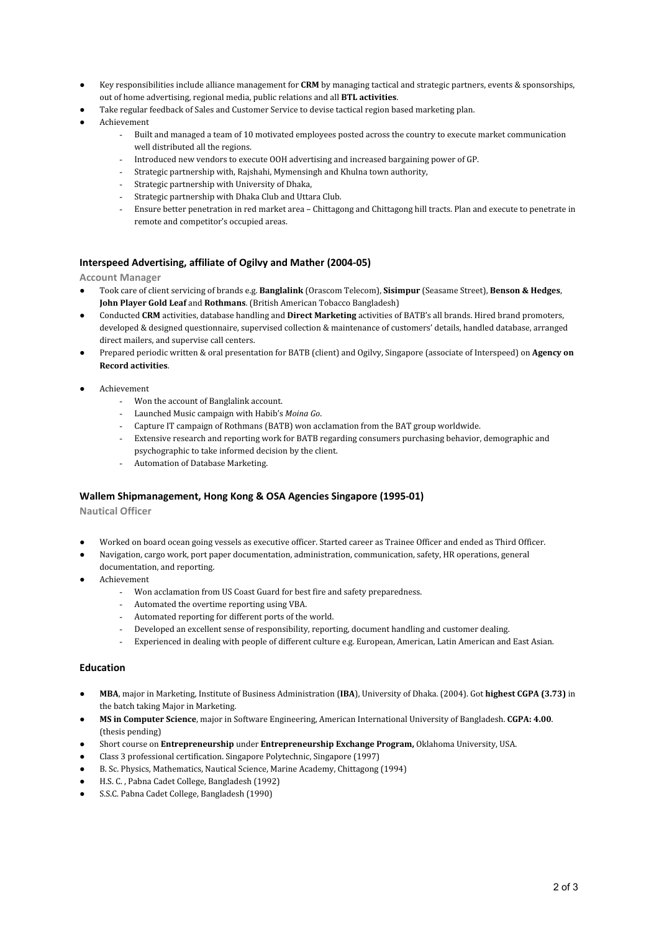- Key responsibilities include alliance management for **CRM** by managing tactical and strategic partners, events & sponsorships, out of home advertising, regional media, public relations and all **BTL activities**.
- Take regular feedback of Sales and Customer Service to devise tactical region based marketing plan.
- Achievement
	- Built and managed a team of 10 motivated employees posted across the country to execute market communication well distributed all the regions.
	- Introduced new vendors to execute OOH advertising and increased bargaining power of GP.
	- Strategic partnership with, Rajshahi, Mymensingh and Khulna town authority,
	- Strategic partnership with University of Dhaka,
	- Strategic partnership with Dhaka Club and Uttara Club.
	- Ensure better penetration in red market area Chittagong and Chittagong hill tracts. Plan and execute to penetrate in remote and competitor's occupied areas.

### **Interspeed Advertising, affiliate of Ogilvy and Mather (2004-05)**

#### **Account Manager**

- Took care of client servicing of brands e.g. **Banglalink** (Orascom Telecom), **Sisimpur** (Seasame Street), **Benson & Hedges**, **John Player Gold Leaf** and **Rothmans**. (British American Tobacco Bangladesh)
- Conducted **CRM** activities, database handling and **Direct Marketing** activities of BATB's all brands. Hired brand promoters, developed & designed questionnaire, supervised collection & maintenance of customers' details, handled database, arranged direct mailers, and supervise call centers.
- Prepared periodic written & oral presentation for BATB (client) and Ogilvy, Singapore (associate of Interspeed) on **Agency on Record activities**.
- Achievement
	- Won the account of Banglalink account.
	- Launched Music campaign with Habib's *Moina Go*.
	- Capture IT campaign of Rothmans (BATB) won acclamation from the BAT group worldwide.
	- Extensive research and reporting work for BATB regarding consumers purchasing behavior, demographic and psychographic to take informed decision by the client.
	- Automation of Database Marketing.

#### **Wallem [Shipmanagement](http://www.wallem.com/), Hong Kong & OSA Agencies Singapore (1995-01)**

**Nautical Officer**

- Worked on board ocean going vessels as executive officer. Started career as Trainee Officer and ended as Third Officer.
- Navigation, cargo work, port paper documentation, administration, communication, safety, HR operations, general
- documentation, and reporting.
- Achievement
	- Won acclamation from US Coast Guard for best fire and safety preparedness.
	- Automated the overtime reporting using VBA.
	- Automated reporting for different ports of the world.
	- Developed an excellent sense of responsibility, reporting, document handling and customer dealing.
	- Experienced in dealing with people of different culture e.g. European, American, Latin American and East Asian.

## **Education**

- **MBA**, major in Marketing, Institute of Business [Administration](http://www.iba-du.edu/) (**IBA**), University of Dhaka. (2004). Got **highest CGPA (3.73)** in the batch taking Major in Marketing.
- **MS in Computer Science**, major in Software Engineering, American [International](http://www.aiub.edu/) University of Bangladesh. **CGPA: 4.00**. (thesis pending)
- Short course on **Entrepreneurship** under **Entrepreneurship Exchange Program,** Oklahoma University, USA.
- Class 3 professional certification. Singapore Polytechnic, Singapore (1997)
- B. Sc. Physics, Mathematics, Nautical Science, Marine [Academy](http://www.macademy.gov.bd/), Chittagong (1994)
- H.S. C., Pabna Cadet College, Bangladesh (1992)
- S.S.C. Pabna Cadet College, Bangladesh (1990)